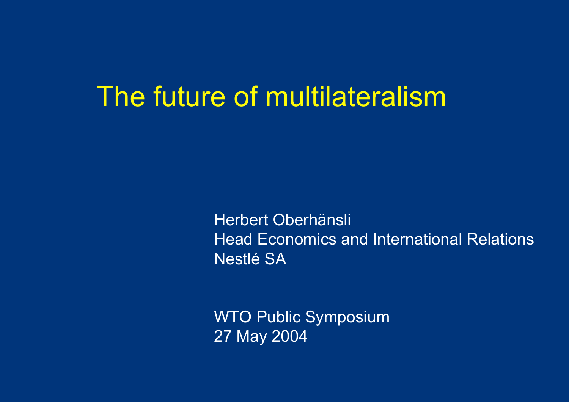## The future of multilateralism

Herbert Oberhänsli Head Economics and International Relations Nestlé SA

WTO Public Symposium 27 May 2004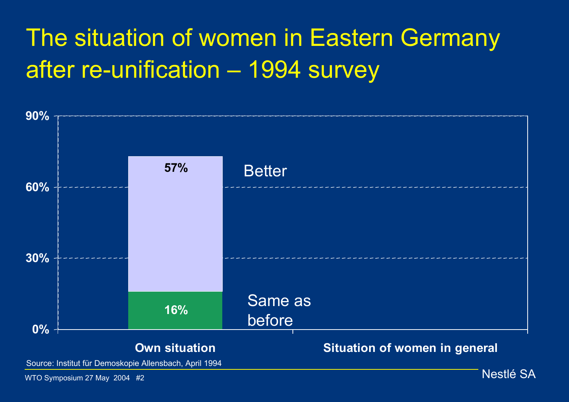## The situation of women in Eastern Germany after re-unification – 1994 survey



WTO Symposium 27 May 2004 #2 Nestlé SA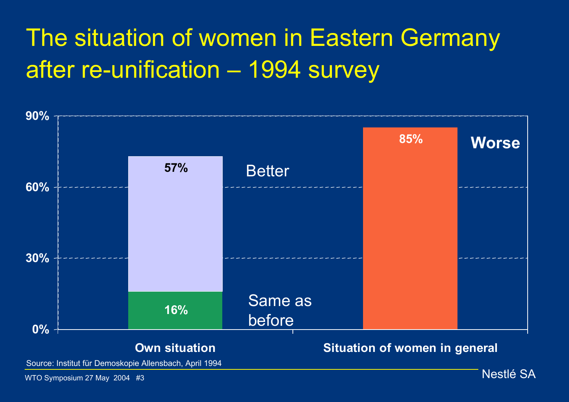## The situation of women in Eastern Germany after re-unification – 1994 survey



Source: Institut für Demoskopie Allensbach, April 1994

WTO Symposium 27 May 2004 #3 Nestlé SA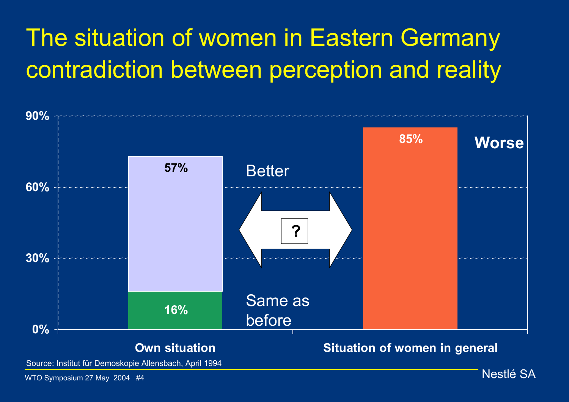# The situation of women in Eastern Germany contradiction between perception and reality



Source: Institut für Demoskopie Allensbach, April 1994

WTO Symposium 27 May 2004 #4 Nestlé SA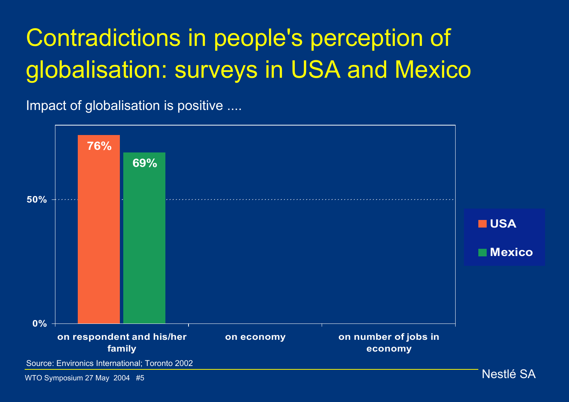# Contradictions in people's perception of globalisation: surveys in USA and Mexico

Impact of globalisation is positive ....

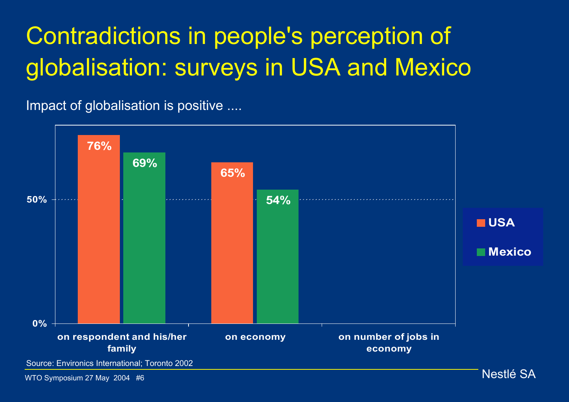# Contradictions in people's perception of globalisation: surveys in USA and Mexico

Impact of globalisation is positive ....

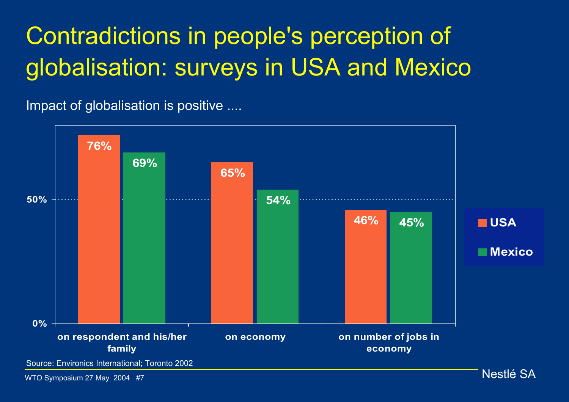# Contradictions in people's perception of globalisation: surveys in USA and Mexico

Impact of globalisation is positive ....



WTO Symposium 27 May 2004 #7 Nestlé SA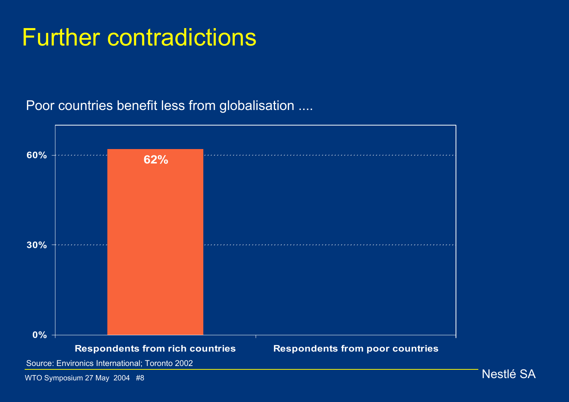### Further contradictions

#### Poor countries benefit less from globalisation ....



Source: Environics International; Toronto 2002

WTO Symposium 27 May 2004 #8 Nestlé SA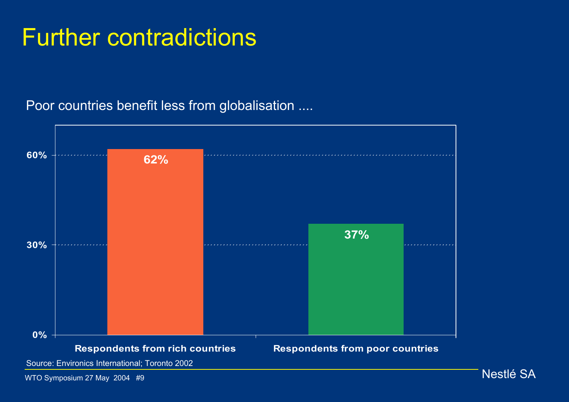### Further contradictions

#### Poor countries benefit less from globalisation ....



Source: Environics International; Toronto 2002

WTO Symposium 27 May 2004 #9 Nestlé SA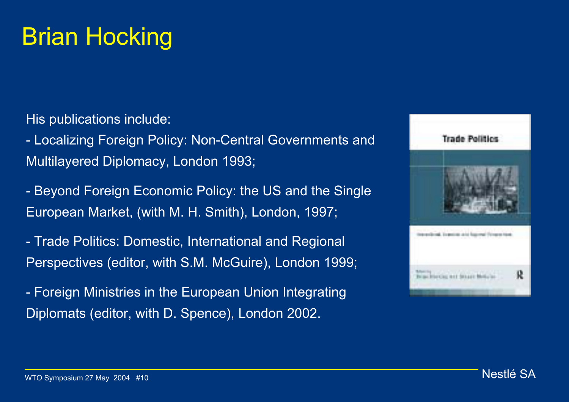## Brian Hocking

His publications include:

- Localizing Foreign Policy: Non-Central Governments and Multilayered Diplomacy, London 1993;

- Beyond Foreign Economic Policy: the US and the Single European Market, (with M. H. Smith), London, 1997;

- Trade Politics: Domestic, International and Regional Perspectives (editor, with S.M. McGuire), London 1999;

- Foreign Ministries in the European Union Integrating Diplomats (editor, with D. Spence), London 2002.

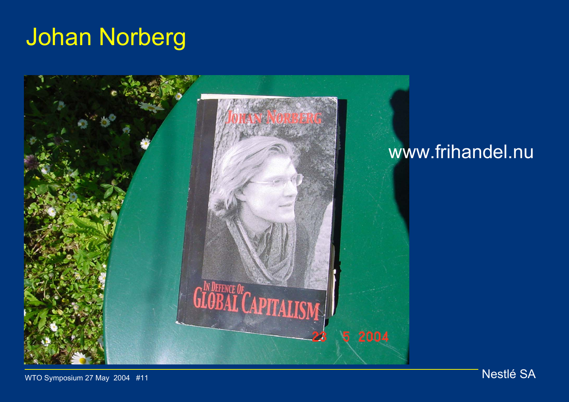## Johan Norberg



WTO Symposium 27 May 2004 #11 Nestlé SA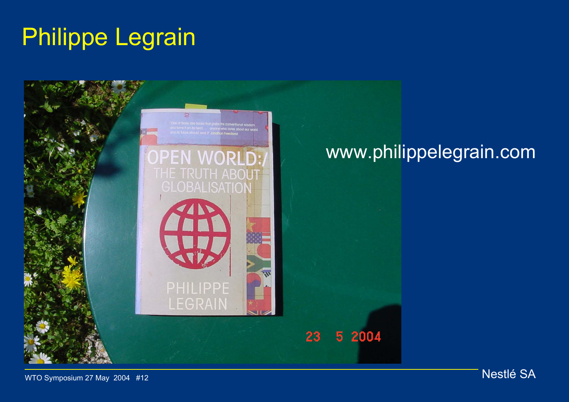## Philippe Legrain